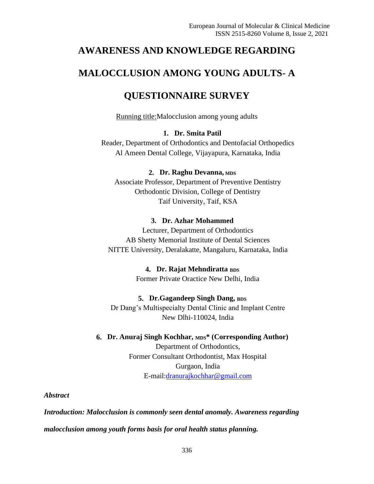# **AWARENESS AND KNOWLEDGE REGARDING**

# **MALOCCLUSION AMONG YOUNG ADULTS- A**

# **QUESTIONNAIRE SURVEY**

Running title:Malocclusion among young adults

# **1. Dr. Smita Patil**

Reader, Department of Orthodontics and Dentofacial Orthopedics Al Ameen Dental College, Vijayapura, Karnataka, India

## **2. Dr. Raghu Devanna, MDS**

Associate Professor, Department of Preventive Dentistry Orthodontic Division, College of Dentistry Taif University, Taif, KSA

### **3. Dr. Azhar Mohammed**

Lecturer, Department of Orthodontics AB Shetty Memorial Institute of Dental Sciences NITTE University, Deralakatte, Mangaluru, Karnataka, India

### **4. Dr. Rajat Mehndiratta BDS**

Former Private Oractice New Delhi, India

### **5. Dr.Gagandeep Singh Dang, BDS**

Dr Dang's Multispecialty Dental Clinic and Implant Centre New Dlhi-110024, India

### **6. Dr. Anuraj Singh Kochhar, MDS\* (Corresponding Author)**

Department of Orthodontics, Former Consultant Orthodontist, Max Hospital Gurgaon, India E-mail[:dranurajkochhar@gmail.com](mailto:dranurajkochhar@gmail.com)

*Abstract*

*Introduction: Malocclusion is commonly seen dental anomaly. Awareness regarding malocclusion among youth forms basis for oral health status planning.*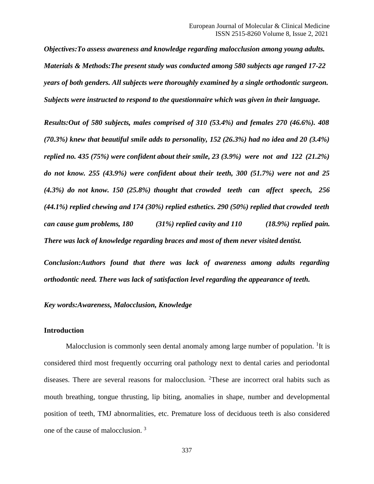*Objectives:To assess awareness and knowledge regarding malocclusion among young adults. Materials & Methods:The present study was conducted among 580 subjects age ranged 17-22 years of both genders. All subjects were thoroughly examined by a single orthodontic surgeon. Subjects were instructed to respond to the questionnaire which was given in their language.*

*Results:Out of 580 subjects, males comprised of 310 (53.4%) and females 270 (46.6%). 408 (70.3%) knew that beautiful smile adds to personality, 152 (26.3%) had no idea and 20 (3.4%) replied no. 435 (75%) were confident about their smile, 23 (3.9%) were not and 122 (21.2%) do not know. 255 (43.9%) were confident about their teeth, 300 (51.7%) were not and 25 (4.3%) do not know. 150 (25.8%) thought that crowded teeth can affect speech, 256 (44.1%) replied chewing and 174 (30%) replied esthetics. 290 (50%) replied that crowded teeth can cause gum problems, 180 (31%) replied cavity and 110 (18.9%) replied pain. There was lack of knowledge regarding braces and most of them never visited dentist.*

*Conclusion:Authors found that there was lack of awareness among adults regarding orthodontic need. There was lack of satisfaction level regarding the appearance of teeth.*

### *Key words:Awareness, Malocclusion, Knowledge*

### **Introduction**

Malocclusion is commonly seen dental anomaly among large number of population. <sup>1</sup>It is considered third most frequently occurring oral pathology next to dental caries and periodontal diseases. There are several reasons for malocclusion. <sup>2</sup>These are incorrect oral habits such as mouth breathing, tongue thrusting, lip biting, anomalies in shape, number and developmental position of teeth, TMJ abnormalities, etc. Premature loss of deciduous teeth is also considered one of the cause of malocclusion. <sup>3</sup>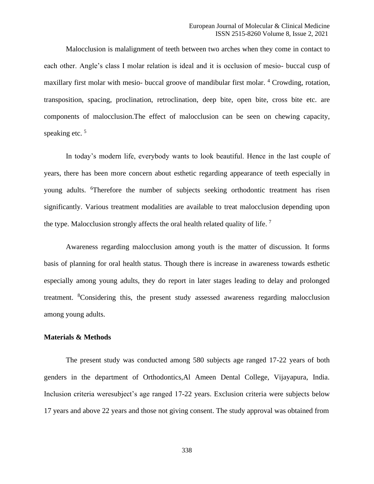Malocclusion is malalignment of teeth between two arches when they come in contact to each other. Angle's class I molar relation is ideal and it is occlusion of mesio- buccal cusp of maxillary first molar with mesio- buccal groove of mandibular first molar. <sup>4</sup> Crowding, rotation, transposition, spacing, proclination, retroclination, deep bite, open bite, cross bite etc. are components of malocclusion.The effect of malocclusion can be seen on chewing capacity, speaking etc.<sup>5</sup>

In today's modern life, everybody wants to look beautiful. Hence in the last couple of years, there has been more concern about esthetic regarding appearance of teeth especially in young adults. <sup>6</sup>Therefore the number of subjects seeking orthodontic treatment has risen significantly. Various treatment modalities are available to treat malocclusion depending upon the type. Malocclusion strongly affects the oral health related quality of life.  $^7$ 

Awareness regarding malocclusion among youth is the matter of discussion. It forms basis of planning for oral health status. Though there is increase in awareness towards esthetic especially among young adults, they do report in later stages leading to delay and prolonged treatment. <sup>8</sup>Considering this, the present study assessed awareness regarding malocclusion among young adults.

#### **Materials & Methods**

The present study was conducted among 580 subjects age ranged 17-22 years of both genders in the department of Orthodontics,Al Ameen Dental College, Vijayapura, India. Inclusion criteria weresubject's age ranged 17-22 years. Exclusion criteria were subjects below 17 years and above 22 years and those not giving consent. The study approval was obtained from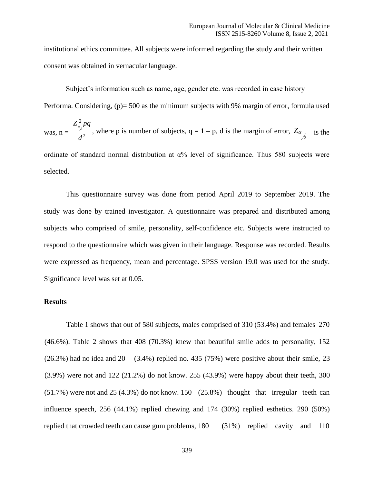institutional ethics committee. All subjects were informed regarding the study and their written consent was obtained in vernacular language.

Subject's information such as name, age, gender etc. was recorded in case history Performa. Considering, (p) = 500 as the minimum subjects with 9% margin of error, formula used  $Z^{\,2}_{\scriptscriptstyle a}$  pq was,  $n = \frac{2}{\sqrt{2}}$ , where p is number of subjects,  $q = 1 - p$ , d is the margin of error,  $Z_{\alpha}$  $d^2$  1 3 1  $\frac{1}{2}$  2 is the ordinate of standard normal distribution at  $\alpha$ % level of significance. Thus 580 subjects were

This questionnaire survey was done from period April 2019 to September 2019. The study was done by trained investigator. A questionnaire was prepared and distributed among subjects who comprised of smile, personality, self-confidence etc. Subjects were instructed to respond to the questionnaire which was given in their language. Response was recorded. Results were expressed as frequency, mean and percentage. SPSS version 19.0 was used for the study. Significance level was set at 0.05.

#### **Results**

selected.

Table 1 shows that out of 580 subjects, males comprised of 310 (53.4%) and females 270 (46.6%). Table 2 shows that 408 (70.3%) knew that beautiful smile adds to personality, 152  $(26.3%)$  had no idea and  $20$   $(3.4%)$  replied no. 435 (75%) were positive about their smile, 23 (3.9%) were not and 122 (21.2%) do not know. 255 (43.9%) were happy about their teeth, 300 (51.7%) were not and 25 (4.3%) do not know. 150 (25.8%) thought that irregular teeth can influence speech, 256 (44.1%) replied chewing and 174 (30%) replied esthetics. 290 (50%) replied that crowded teeth can cause gum problems, 180 (31%) replied cavity and 110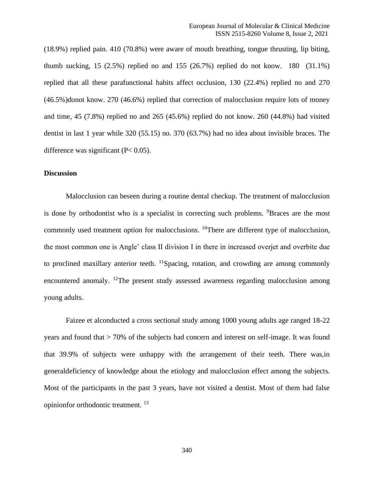(18.9%) replied pain. 410 (70.8%) were aware of mouth breathing, tongue thrusting, lip biting, thumb sucking, 15  $(2.5%)$  replied no and 155  $(26.7%)$  replied do not know. 180  $(31.1%)$ replied that all these parafunctional habits affect occlusion, 130 (22.4%) replied no and 270 (46.5%)donot know. 270 (46.6%) replied that correction of malocclusion require lots of money and time, 45 (7.8%) replied no and 265 (45.6%) replied do not know. 260 (44.8%) had visited dentist in last 1 year while 320 (55.15) no. 370 (63.7%) had no idea about invisible braces. The difference was significant  $(P< 0.05)$ .

#### **Discussion**

Malocclusion can beseen during a routine dental checkup. The treatment of malocclusion is done by orthodontist who is a specialist in correcting such problems. <sup>9</sup>Braces are the most commonly used treatment option for malocclusions. <sup>10</sup>There are different type of malocclusion, the most common one is Angle' class II division I in there in increased overjet and overbite due to proclined maxillary anterior teeth.  $^{11}$ Spacing, rotation, and crowding are among commonly encountered anomaly. <sup>12</sup>The present study assessed awareness regarding malocclusion among young adults.

Faizee et alconducted a cross sectional study among 1000 young adults age ranged 18-22 years and found that > 70% of the subjects had concern and interest on self-image. It was found that 39.9% of subjects were unhappy with the arrangement of their teeth. There was,in generaldeficiency of knowledge about the etiology and malocclusion effect among the subjects. Most of the participants in the past 3 years, have not visited a dentist. Most of them had false opinionfor orthodontic treatment. <sup>13</sup>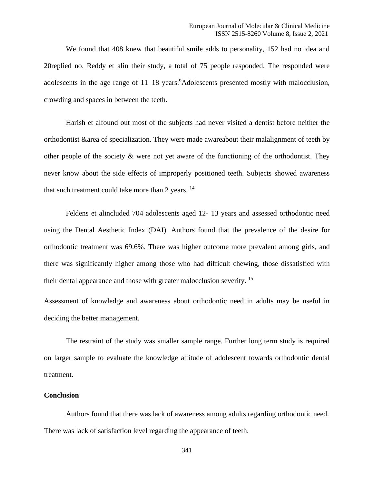We found that 408 knew that beautiful smile adds to personality, 152 had no idea and 20replied no. Reddy et alin their study, a total of 75 people responded. The responded were adolescents in the age range of  $11-18$  years.<sup>9</sup>Adolescents presented mostly with malocclusion, crowding and spaces in between the teeth.

Harish et alfound out most of the subjects had never visited a dentist before neither the orthodontist &area of specialization. They were made awareabout their malalignment of teeth by other people of the society  $\&$  were not yet aware of the functioning of the orthodontist. They never know about the side effects of improperly positioned teeth. Subjects showed awareness that such treatment could take more than 2 years. <sup>14</sup>

Feldens et alincluded 704 adolescents aged 12- 13 years and assessed orthodontic need using the Dental Aesthetic Index (DAI). Authors found that the prevalence of the desire for orthodontic treatment was 69.6%. There was higher outcome more prevalent among girls, and there was significantly higher among those who had difficult chewing, those dissatisfied with their dental appearance and those with greater malocclusion severity. <sup>15</sup>

Assessment of knowledge and awareness about orthodontic need in adults may be useful in deciding the better management.

The restraint of the study was smaller sample range. Further long term study is required on larger sample to evaluate the knowledge attitude of adolescent towards orthodontic dental treatment.

#### **Conclusion**

Authors found that there was lack of awareness among adults regarding orthodontic need. There was lack of satisfaction level regarding the appearance of teeth.

341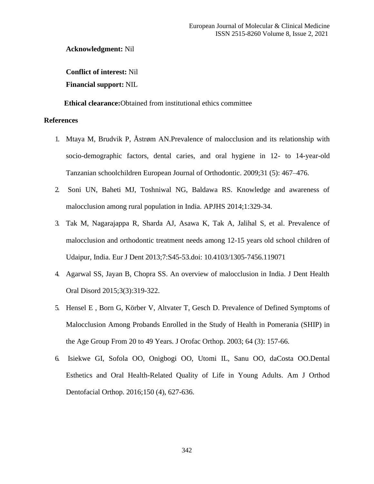**Acknowledgment:** Nil

**Conflict of interest:** Nil **Financial support:** NIL

**Ethical clearance:**Obtained from institutional ethics committee

### **References**

- 1. Mtaya M, Brudvik P, Åstrøm AN.Prevalence of malocclusion and its relationship with socio-demographic factors, dental caries, and oral hygiene in 12- to 14-year-old Tanzanian schoolchildren European Journal of Orthodontic. 2009;31 (5): 467–476.
- 2. Soni UN, Baheti MJ, Toshniwal NG, Baldawa RS. Knowledge and awareness of malocclusion among rural population in India. APJHS 2014;1:329-34.
- 3. Tak M, Nagarajappa R, Sharda AJ, Asawa K, Tak A, Jalihal S, et al. Prevalence of malocclusion and orthodontic treatment needs among 12-15 years old school children of Udaipur, India. Eur J Dent 2013;7:S45-53.doi: 10.4103/1305-7456.119071
- 4. Agarwal SS, Jayan B, Chopra SS. An overview of malocclusion in India. J Dent Health Oral Disord 2015;3(3):319-322.
- 5. [Hensel E](https://pubmed.ncbi.nlm.nih.gov/?term=Hensel%2BE&cauthor_id=12835888) , [Born G](https://pubmed.ncbi.nlm.nih.gov/?term=Born%2BG&cauthor_id=12835888), [Körber V](https://pubmed.ncbi.nlm.nih.gov/?term=K%C3%B6rber%2BV&cauthor_id=12835888), [Altvater T](https://pubmed.ncbi.nlm.nih.gov/?term=Altvater%2BT&cauthor_id=12835888), [Gesch D](https://pubmed.ncbi.nlm.nih.gov/?term=Gesch%2BD&cauthor_id=12835888). Prevalence of Defined Symptoms of Malocclusion Among Probands Enrolled in the Study of Health in Pomerania (SHIP) in the Age Group From 20 to 49 Years. J Orofac Orthop. 2003; 64 (3): 157-66.
- 6. [Isiekwe](https://pubmed.ncbi.nlm.nih.gov/?term=Isiekwe%2BGI&cauthor_id=27692420) GI, [Sofola](https://pubmed.ncbi.nlm.nih.gov/?term=Sofola%2BOO&cauthor_id=27692420) OO, [Onigbogi](https://pubmed.ncbi.nlm.nih.gov/?term=Onigbogi%2BOO&cauthor_id=27692420) OO, [Utomi](https://pubmed.ncbi.nlm.nih.gov/?term=Utomi%2BIL&cauthor_id=27692420) IL, [Sanu](https://pubmed.ncbi.nlm.nih.gov/?term=Sanu%2BOO&cauthor_id=27692420) OO, [daCosta](https://pubmed.ncbi.nlm.nih.gov/?term=daCosta%2BOO&cauthor_id=27692420) OO.Dental Esthetics and Oral Health-Related Quality of Life in Young Adults. Am J Orthod Dentofacial Orthop. 2016;150 (4), 627-636.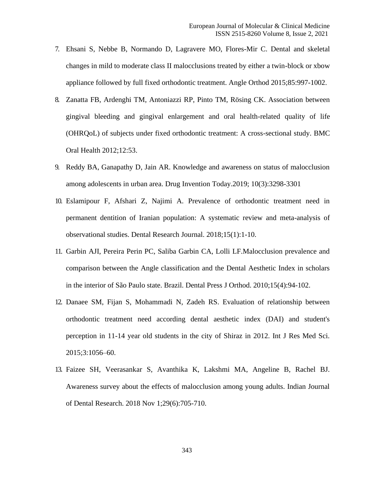- 7. Ehsani S, Nebbe B, Normando D, Lagravere MO, Flores-Mir C. Dental and skeletal changes in mild to moderate class II malocclusions treated by either a twin-block or xbow appliance followed by full fixed orthodontic treatment. Angle Orthod 2015;85:997-1002.
- 8. Zanatta FB, Ardenghi TM, Antoniazzi RP, Pinto TM, Rösing CK. Association between gingival bleeding and gingival enlargement and oral health-related quality of life (OHRQoL) of subjects under fixed orthodontic treatment: A cross-sectional study. BMC Oral Health 2012;12:53.
- 9. Reddy BA, Ganapathy D, Jain AR. Knowledge and awareness on status of malocclusion among adolescents in urban area. [Drug Invention Today.](https://www.researchgate.net/journal/0975-7619_Drug_Invention_Today)2019; 10(3):3298-3301
- 10. Eslamipour F, Afshari Z, Najimi A. Prevalence of orthodontic treatment need in permanent dentition of Iranian population: A systematic review and meta-analysis of observational studies. Dental Research Journal. 2018;15(1):1-10.
- 11. Garbin AJI, Pereira Perin PC, Saliba Garbin CA, Lolli LF.Malocclusion prevalence and comparison between the Angle classification and the Dental Aesthetic Index in scholars in the interior of São Paulo state. Brazil. Dental Press J Orthod. 2010;15(4):94-102.
- 12. Danaee SM, Fijan S, Mohammadi N, Zadeh RS. Evaluation of relationship between orthodontic treatment need according dental aesthetic index (DAI) and student's perception in 11-14 year old students in the city of Shiraz in 2012. Int J Res Med Sci. 2015;3:1056–60.
- 13. Faizee SH, Veerasankar S, Avanthika K, Lakshmi MA, Angeline B, Rachel BJ. Awareness survey about the effects of malocclusion among young adults. Indian Journal of Dental Research. 2018 Nov 1;29(6):705-710.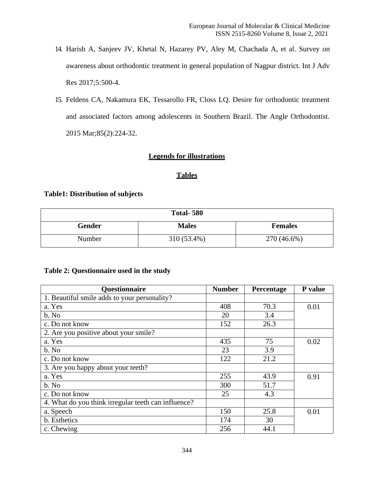- 14. Harish A, Sanjeev JV, Khetal N, Hazarey PV, Aley M, Chachada A, et al. Survey on awareness about orthodontic treatment in general population of Nagpur district. Int J Adv Res 2017;5:500-4.
- 15. Feldens CA, Nakamura EK, Tessarollo FR, Closs LQ. Desire for orthodontic treatment and associated factors among adolescents in Southern Brazil. The Angle Orthodontist. 2015 Mar;85(2):224-32.

# **Legends for illustrations**

## **Tables**

## **Table1: Distribution of subjects**

| <b>Total-580</b> |              |                |  |  |
|------------------|--------------|----------------|--|--|
| <b>Gender</b>    | <b>Males</b> | <b>Females</b> |  |  |
| Number           | 310 (53.4%)  | 270 (46.6%)    |  |  |

# **Table 2: Questionnaire used in the study**

| Questionnaire                                       | <b>Number</b> | Percentage | P value |
|-----------------------------------------------------|---------------|------------|---------|
| 1. Beautiful smile adds to your personality?        |               |            |         |
| a. Yes                                              | 408           | 70.3       | 0.01    |
| b. No                                               | 20            | 3.4        |         |
| c. Do not know                                      | 152           | 26.3       |         |
| 2. Are you positive about your smile?               |               |            |         |
| a. Yes                                              | 435           | 75         | 0.02    |
| b. No                                               | 23            | 3.9        |         |
| c. Do not know                                      | 122           | 21.2       |         |
| 3. Are you happy about your teeth?                  |               |            |         |
| a. Yes                                              | 255           | 43.9       | 0.91    |
| b. No                                               | 300           | 51.7       |         |
| c. Do not know                                      | 25            | 4.3        |         |
| 4. What do you think irregular teeth can influence? |               |            |         |
| a. Speech                                           | 150           | 25.8       | 0.01    |
| b. Esthetics                                        | 174           | 30         |         |
| c. Chewing                                          | 256           | 44.1       |         |